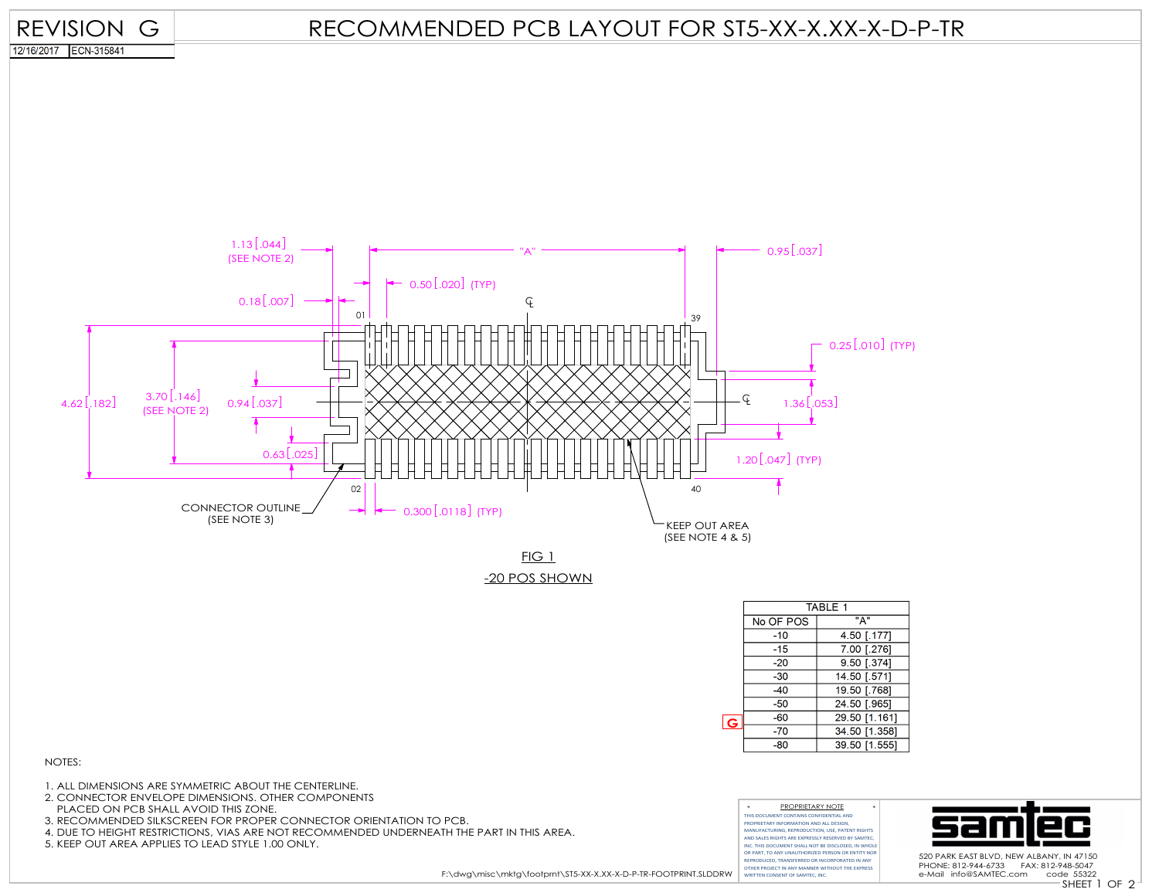

4. DUE TO HEIGHT RESTRICTIONS, VIAS ARE NOT RECOMMENDED UNDERNEATH THE PART IN THIS AREA.

5. KEEP OUT AREA APPLIES TO LEAD STYLE 1.00 ONLY.

F:\dwg\misc\mktg\footprnt\ST5-XX-X.XX-X-D-P-TR-FOOTPRINT.SLDDRW

AND SALES RIGHTS ARE EXPRESSLY RESERVED BY SAMTEC, INC. THIS DOCUMENT SHALL NOT BE DISCLOSED, IN WHOLE OR PART, TO ANY UNAUTHORIZED PERSON OR ENTITY NOR REPRODUCED, TRANSFERRED OR INCORPORATED IN ANY OTHER PROJECT IN ANY MANNER WITHOUT THE EXPRESS WRITTEN CONSENT OF SAMTEC, INC.



520 PARK EAST BLVD, NEW ALBANY, IN 47150 PHONE: 812-944-6733 FAX: 812-948-5047 e-Mail info@SAMTEC.com code 55322

SHEET 1 OF 2